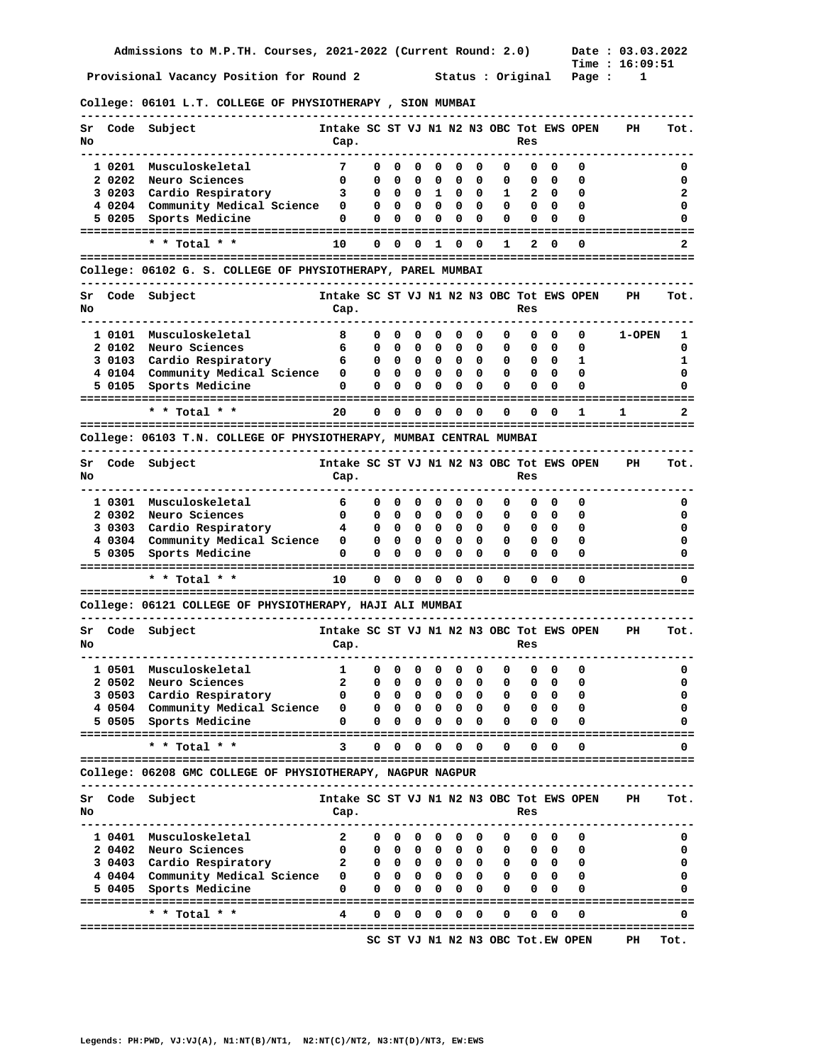**Time : 16:09:51** 

**College: 06101 L.T. COLLEGE OF PHYSIOTHERAPY , SION MUMBAI** 

| Sr<br>No |           | Code Subject                                                        | Intake SC ST VJ N1 N2 N3 OBC Tot EWS OPEN<br>Cap. |              |                         |                         |                         |                                        |                         |   | Res                                             |              |                                   | PН            | Tot. |
|----------|-----------|---------------------------------------------------------------------|---------------------------------------------------|--------------|-------------------------|-------------------------|-------------------------|----------------------------------------|-------------------------|---|-------------------------------------------------|--------------|-----------------------------------|---------------|------|
|          | 1 0201    | Musculoskeletal                                                     | 7                                                 | 0            | 0                       | 0                       | 0                       | 0                                      | 0                       | 0 | 0                                               | 0            | 0                                 |               | 0    |
|          | 2 0 2 0 2 | Neuro Sciences                                                      | 0                                                 | 0            | 0                       | 0                       | 0                       | 0                                      | 0                       | 0 | 0                                               | 0            | 0                                 |               | 0    |
|          | 3 0203    | Cardio Respiratory                                                  | 3                                                 | 0            | 0                       | $\overline{\mathbf{0}}$ | $\mathbf{1}$            | 0                                      | 0                       | 1 | 2                                               | 0            | 0                                 |               | 2    |
|          | 40204     | Community Medical Science                                           | 0                                                 | 0            | 0                       | 0                       | 0                       | 0                                      | 0                       | 0 | 0                                               | 0            | 0                                 |               | 0    |
|          | 5 0205    | Sports Medicine                                                     | 0                                                 | 0            | 0                       | 0                       | 0                       | 0                                      | 0                       | 0 | 0                                               | 0            | 0                                 |               |      |
|          |           |                                                                     |                                                   |              |                         |                         |                         |                                        |                         |   |                                                 |              |                                   |               |      |
|          |           | * * Total * *                                                       | 10                                                | 0            | 0                       | 0                       | 1                       | 0                                      | 0                       | 1 | 2                                               | 0            | O                                 |               |      |
|          |           | College: 06102 G. S. COLLEGE OF PHYSIOTHERAPY, PAREL MUMBAI         |                                                   |              |                         |                         |                         |                                        |                         |   |                                                 |              |                                   |               |      |
| Sr<br>No | Code      | Subject                                                             | Intake SC ST VJ N1 N2 N3 OBC Tot EWS OPEN<br>Cap. |              |                         |                         |                         |                                        |                         |   | Res                                             |              |                                   | PH            | Tot. |
|          | 1 0101    | Musculoskeletal                                                     | 8                                                 | 0            | 0                       | 0                       | 0                       | 0                                      | 0                       | 0 | 0                                               | 0            | 0                                 | <b>1-OPEN</b> | ı    |
|          | 2 0102    | Neuro Sciences                                                      | 6                                                 | 0            | 0                       | 0                       | 0                       | 0                                      | 0                       | 0 | 0                                               | 0            | 0                                 |               | 0    |
|          | 3 0103    | Cardio Respiratory                                                  | 6                                                 | 0            | 0                       | $\mathbf{0}$            | 0                       | $^{\circ}$                             | $\mathbf{o}$            | 0 | 0                                               | 0            | 1                                 |               | 1    |
|          | 4 0104    | Community Medical Science                                           | 0                                                 | 0            | 0                       | - 0                     | 0                       | 0                                      | 0                       | 0 | 0                                               | 0            | 0                                 |               | 0    |
|          | 5 0105    | Sports Medicine                                                     | 0                                                 | 0            | 0                       | 0                       | 0                       | 0                                      | 0                       | 0 | 0                                               | 0            | O                                 |               | 0    |
|          |           | * * Total * *                                                       | 20                                                | 0            | 0                       | 0                       | ===========<br>0        | 0                                      | 0                       | 0 | 0                                               | 0            | 1                                 | 1             | 2    |
|          |           | College: 06103 T.N. COLLEGE OF PHYSIOTHERAPY, MUMBAI CENTRAL MUMBAI |                                                   |              |                         |                         |                         |                                        |                         |   |                                                 |              |                                   |               |      |
|          |           | ------------------                                                  |                                                   |              |                         |                         |                         |                                        |                         |   |                                                 |              |                                   |               |      |
| Sr<br>No |           | Code Subject                                                        | Intake SC ST VJ N1 N2 N3 OBC Tot EWS OPEN<br>Cap. |              |                         |                         |                         |                                        |                         |   | Res                                             |              |                                   | PH            | Tot. |
|          | 1 0301    | Musculoskeletal                                                     | 6                                                 | 0            | 0                       | 0                       | 0                       | 0                                      | 0                       | 0 | 0                                               | 0            | 0                                 |               | 0    |
|          | 2 0302    | Neuro Sciences                                                      | 0                                                 | 0            | 0                       | 0                       | 0                       | 0                                      | 0                       | 0 | 0                                               | 0            | 0                                 |               | 0    |
|          | 3 0303    | Cardio Respiratory                                                  | 4                                                 | 0            | 0                       | $\mathbf{0}$            | 0                       | 0                                      | 0                       | 0 | 0                                               | 0            | 0                                 |               | 0    |
|          | 4 0304    | Community Medical Science                                           | 0                                                 | 0            | 0                       | 0                       | 0                       | 0                                      | 0                       | 0 | 0                                               | 0            | 0                                 |               | 0    |
|          | 5 0305    | Sports Medicine                                                     | 0                                                 | 0            | 0                       | 0                       | 0                       | 0                                      | 0                       | 0 | 0                                               | 0            | O                                 |               |      |
|          |           | * * Total * *                                                       | 10                                                | 0            | $\overline{\mathbf{0}}$ | 0                       | $\overline{\mathbf{0}}$ | 0                                      | 0                       | 0 | ==============<br>0                             | 0            | O                                 |               | 0    |
|          |           |                                                                     |                                                   |              |                         |                         |                         |                                        |                         |   |                                                 |              |                                   |               |      |
|          |           | College: 06121 COLLEGE OF PHYSIOTHERAPY, HAJI ALI MUMBAI            |                                                   |              |                         |                         |                         |                                        |                         |   |                                                 |              |                                   |               |      |
| Sr<br>No | Code      | Subject                                                             | Intake SC ST VJ N1 N2 N3 OBC Tot EWS OPEN<br>Cap. |              |                         |                         |                         |                                        |                         |   | Res                                             |              |                                   | PH            | Tot. |
|          | 1 0501    | Musculoskeletal                                                     | $\mathbf{1}$                                      | 0            | 0                       | 0                       | 0                       | 0                                      | 0                       | 0 | 0                                               | 0            | 0                                 |               | 0    |
|          | 2 0502    | Neuro Sciences                                                      | 2                                                 | 0            | 0                       | 0                       | 0                       | 0                                      | 0                       | 0 | 0                                               | 0            | 0                                 |               | 0    |
|          | 3 0503    | Cardio Respiratory                                                  | 0                                                 | 0            | 0                       | 0                       | 0                       | 0                                      | 0                       | 0 | 0                                               | 0            | 0                                 |               | 0    |
|          |           | 4 0504 Community Medical Science 0                                  |                                                   |              | 00                      |                         | 00                      | 0                                      | $\Omega$                | 0 | 0                                               | <sup>0</sup> |                                   |               | 0    |
|          |           | 5 0505 Sports Medicine                                              | 0                                                 | 0            | $\mathbf{0}$            | 0                       |                         | $0\quad 0\quad 0$                      |                         | 0 | 0                                               | 0            | 0                                 |               | 0    |
|          |           | * * Total * *                                                       | 3                                                 | $\mathbf{0}$ |                         |                         |                         | $0\quad 0\quad 0\quad 0\quad 0$        |                         | 0 |                                                 | $0\quad 0$   | 0                                 |               | 0    |
|          |           | College: 06208 GMC COLLEGE OF PHYSIOTHERAPY, NAGPUR NAGPUR          |                                                   |              |                         |                         |                         |                                        |                         |   |                                                 |              |                                   |               |      |
| Sr       |           | Code Subject                                                        | Intake SC ST VJ N1 N2 N3 OBC Tot EWS OPEN         |              |                         |                         |                         |                                        |                         |   |                                                 |              |                                   | PH            | Tot. |
| No       |           |                                                                     | Cap.                                              |              |                         |                         |                         |                                        |                         |   | Res                                             |              |                                   |               |      |
|          | 1 0401    | Musculoskeletal                                                     | 2                                                 |              |                         |                         |                         | $0\quad 0\quad 0\quad 0\quad 0\quad 0$ |                         | 0 |                                                 | $0\quad 0$   | 0                                 |               | 0    |
|          | 2 0402    | Neuro Sciences                                                      | 0                                                 |              |                         |                         |                         | $0\quad 0\quad 0\quad 0\quad 0\quad 0$ |                         | 0 | $\begin{array}{ccc} & & 0 & \hline \end{array}$ |              | 0                                 |               | 0    |
|          |           | 3 0403 Cardio Respiratory                                           | 2                                                 |              |                         |                         |                         | $0\quad 0\quad 0\quad 0\quad 0\quad 0$ |                         |   | $0\quad 0\quad 0$                               |              | 0                                 |               | 0    |
|          |           | 4 0404 Community Medical Science                                    | 0                                                 |              |                         |                         |                         | $0\quad 0\quad 0\quad 0\quad 0\quad 0$ |                         |   | $0\quad 0\quad 0$                               |              | 0                                 |               | 0    |
|          | 5 0405    | Sports Medicine                                                     | 0                                                 | 0            | 0                       | 0                       | 0                       | $\mathbf{0}$                           | 0                       | 0 | 0                                               | 0            | 0                                 |               | 0    |
|          |           |                                                                     |                                                   |              |                         |                         |                         |                                        |                         |   |                                                 |              |                                   |               |      |
|          |           | * * Total * *                                                       | 4                                                 | 0            | 0                       | 0                       | 0                       | $\overline{\mathbf{0}}$                | $\overline{\mathbf{0}}$ | 0 | 0                                               | 0            | 0                                 |               | 0    |
|          |           |                                                                     |                                                   |              |                         |                         |                         |                                        |                         |   |                                                 |              | SC ST VJ N1 N2 N3 OBC Tot.EW OPEN | PН            | Tot. |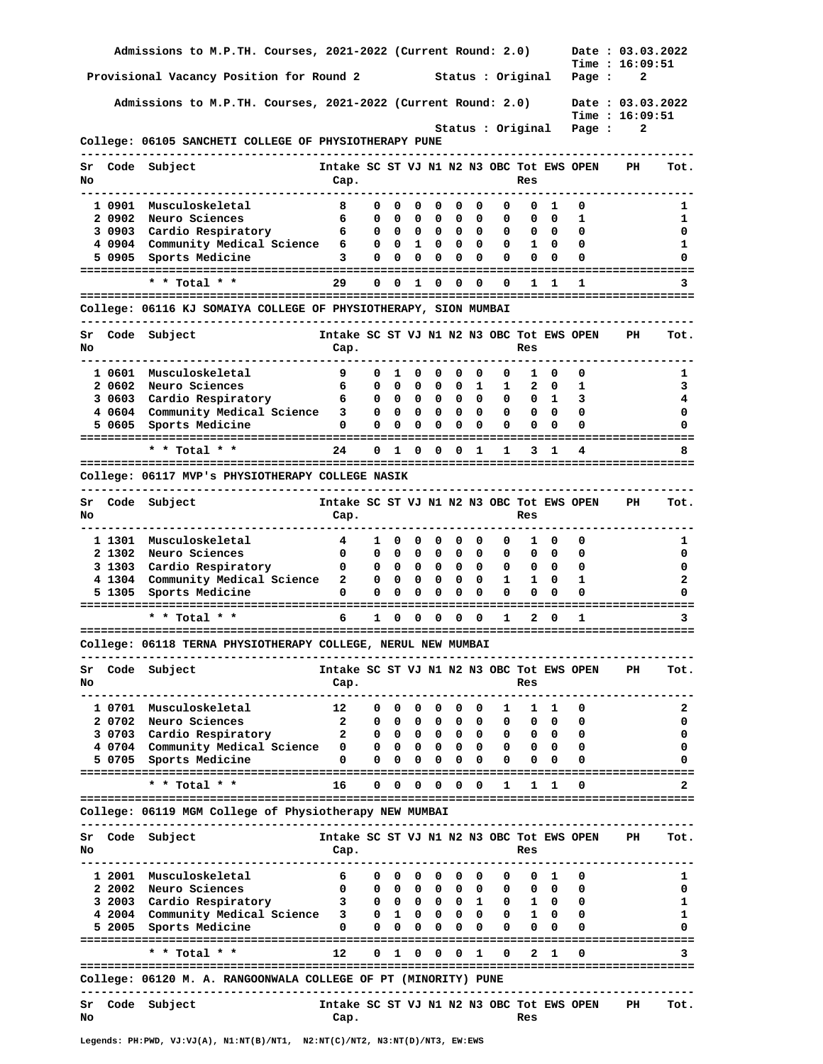|          |        | Admissions to M.P.TH. Courses, 2021-2022 (Current Round: 2.0)               |                                                             |        |                          |                              |                                                                                  |                                                |                                       |                   |                                                                 |                              |          | Date: 03.03.2022<br><b>Time : 16:09:51</b> |              |
|----------|--------|-----------------------------------------------------------------------------|-------------------------------------------------------------|--------|--------------------------|------------------------------|----------------------------------------------------------------------------------|------------------------------------------------|---------------------------------------|-------------------|-----------------------------------------------------------------|------------------------------|----------|--------------------------------------------|--------------|
|          |        | Provisional Vacancy Position for Round 2                                    |                                                             |        |                          |                              |                                                                                  |                                                |                                       | Status : Original |                                                                 |                              | Page :   | 2                                          |              |
|          |        | Admissions to M.P.TH. Courses, 2021-2022 (Current Round: 2.0)               |                                                             |        |                          |                              |                                                                                  |                                                |                                       |                   |                                                                 |                              |          | Date: 03.03.2022                           |              |
|          |        |                                                                             |                                                             |        |                          |                              |                                                                                  |                                                |                                       | Status : Original |                                                                 |                              | Page :   | Time: 16:09:51<br>2                        |              |
|          |        | College: 06105 SANCHETI COLLEGE OF PHYSIOTHERAPY PUNE                       |                                                             |        |                          |                              |                                                                                  |                                                |                                       |                   |                                                                 |                              |          |                                            |              |
| Sr       |        | Code Subject                                                                | --------------<br>Intake SC ST VJ N1 N2 N3 OBC Tot EWS OPEN |        |                          |                              |                                                                                  |                                                |                                       |                   |                                                                 |                              |          | PH                                         | Tot.         |
| No       |        |                                                                             | Cap.                                                        |        |                          |                              |                                                                                  |                                                |                                       |                   | Res                                                             |                              |          |                                            |              |
|          |        | 1 0901 Musculoskeletal                                                      | - 8                                                         | 0      | 0                        | $\mathbf{O}$                 | $\overline{\mathbf{0}}$                                                          | $\mathbf 0$                                    | $\overline{\phantom{0}}$              | 0                 | 0                                                               | $\mathbf{1}$                 | 0        |                                            | 1            |
|          | 2 0902 | Neuro Sciences                                                              | 6<br>6                                                      | 0      | 0                        | $\mathbf{O}$                 | 0<br>$0\quad 0\quad 0\quad 0$                                                    | 0                                              | 0                                     | 0<br>0            | 0                                                               | 0                            | 1<br>0   |                                            | 1            |
|          |        | 3 0903 Cardio Respiratory<br>4 0904 Community Medical Science 6             |                                                             | 0      | 0 1                      |                              | 0                                                                                | $\begin{matrix}0&0\end{matrix}$<br>$\mathbf 0$ | $\overline{\phantom{0}}$              | 0                 | $\overline{\mathbf{0}}$ $\overline{\mathbf{0}}$<br>$\mathbf{1}$ | 0                            | 0        |                                            | 0<br>1       |
|          |        | 5 0905 Sports Medicine                                                      | 3                                                           | 0      | 0                        | 0                            | 0                                                                                | 0                                              | $\mathbf{0}$                          | 0                 | 0                                                               | 0                            | 0        |                                            | 0            |
|          |        | * * Total * *                                                               | 29                                                          |        |                          |                              | 0 0 1 0 0 0                                                                      |                                                |                                       | 0                 | $\mathbf{1}$                                                    | 1.                           | 1        |                                            | 3            |
|          |        |                                                                             |                                                             |        |                          |                              |                                                                                  |                                                |                                       |                   |                                                                 |                              |          |                                            |              |
|          |        | College: 06116 KJ SOMAIYA COLLEGE OF PHYSIOTHERAPY, SION MUMBAI             |                                                             |        |                          |                              |                                                                                  |                                                |                                       |                   | -----------                                                     |                              |          |                                            |              |
| Sr<br>No |        | Code Subject                                                                | Intake SC ST VJ N1 N2 N3 OBC Tot EWS OPEN<br>Cap.           |        |                          |                              |                                                                                  |                                                |                                       |                   | Res                                                             |                              |          | PH                                         | Tot.         |
|          | 1 0601 | Musculoskeletal                                                             | 9                                                           | 0      | <sup>1</sup>             | $\mathbf{0}$                 | $\mathbf{0}$                                                                     | 0                                              | 0                                     | 0                 | 1                                                               | 0                            | 0        |                                            | ı            |
|          | 2 0602 | Neuro Sciences                                                              | 6                                                           |        |                          |                              | 000001                                                                           |                                                |                                       |                   | $1\quad 2\quad 0$                                               |                              | 1        |                                            | 3            |
|          |        | 3 0603 Cardio Respiratory                                                   | 6                                                           | 0      |                          |                              |                                                                                  |                                                |                                       | 0                 | $0\quad 1$                                                      |                              | 3        |                                            | 4            |
|          | 5 0605 | 4 0604 Community Medical Science<br>Sports Medicine                         | $3^{\circ}$<br>0                                            | 0<br>0 | 0<br>0                   | $\overline{\mathbf{0}}$<br>0 | $\mathbf{0}$<br>0                                                                | 0                                              | $0\quad 0$<br>0                       | 0<br>0            | $\overline{\mathbf{0}}$<br>0                                    | 0<br>0                       | 0<br>0   |                                            | 0<br>0       |
|          |        |                                                                             |                                                             |        |                          |                              |                                                                                  |                                                |                                       |                   |                                                                 |                              |          |                                            |              |
|          |        | * * Total * *                                                               | 24                                                          |        | $0\quad1$                | 0                            | $\overline{\mathbf{0}}$                                                          | 0                                              | 1                                     | 1                 | 3                                                               | 1                            | 4        |                                            | 8            |
|          |        | College: 06117 MVP's PHYSIOTHERAPY COLLEGE NASIK                            |                                                             |        |                          |                              |                                                                                  |                                                |                                       |                   |                                                                 |                              |          |                                            |              |
| Sr       |        | ------------------<br>Code Subject                                          | Intake SC ST VJ N1 N2 N3 OBC Tot EWS OPEN                   |        |                          |                              |                                                                                  |                                                |                                       |                   |                                                                 |                              |          | PH                                         | Tot.         |
| No       |        |                                                                             | Cap.                                                        |        |                          |                              |                                                                                  |                                                |                                       |                   | Res                                                             |                              |          |                                            |              |
|          | 1 1301 | Musculoskeletal                                                             | 4                                                           |        | 10                       | 0                            | $^{\circ}$                                                                       | 0                                              | 0                                     | 0                 | 1                                                               | 0                            | 0        |                                            | 1.           |
|          | 2 1302 | Neuro Sciences                                                              | $\mathbf{0}$                                                |        | $0\quad 0\quad 0$        |                              | $^{\circ}$                                                                       |                                                | $0\quad 0$                            | 0                 | 0                                                               | 0                            | 0        |                                            | 0            |
|          |        | 3 1303 Cardio Respiratory<br>4 1304 Community Medical Science 2             | $\mathbf{0}$                                                | 0      | $0\quad 0$<br>$0\quad 0$ | $\overline{\mathbf{0}}$      | $\overline{\mathbf{0}}$<br>$\overline{\mathbf{0}}$                               | $\mathbf 0$                                    | $0\quad 0$<br>$\overline{\mathbf{0}}$ | 0<br>$\mathbf{1}$ | $\overline{\phantom{0}}$<br>$\mathbf{1}$                        | $\overline{\mathbf{0}}$<br>0 | 0<br>1   |                                            | 0<br>2       |
|          |        | 5 1305 Sports Medicine                                                      | $\mathbf 0$                                                 | 0      | 0                        | $\overline{\phantom{0}}$     | 0                                                                                | 0                                              | 0                                     | 0                 | 0                                                               | $\Omega$                     | $\Omega$ |                                            | 0            |
|          |        | * * Total * *                                                               | 6                                                           |        |                          |                              | 10000                                                                            |                                                | - 0                                   | $\mathbf{1}$      | $\overline{a}$                                                  | 0                            | 1        |                                            |              |
|          |        |                                                                             |                                                             |        |                          |                              |                                                                                  |                                                |                                       |                   |                                                                 |                              |          |                                            | 3            |
|          |        | College: 06118 TERNA PHYSIOTHERAPY COLLEGE, NERUL NEW MUMBAI                |                                                             |        |                          |                              |                                                                                  |                                                |                                       |                   |                                                                 |                              |          |                                            |              |
| Sr<br>No |        | Code Subject                                                                | Intake SC ST VJ N1 N2 N3 OBC Tot EWS OPEN<br>Cap.           |        |                          |                              |                                                                                  |                                                |                                       |                   | Res                                                             |                              |          | PH                                         | Tot.         |
|          |        | 1 0701 Musculoskeletal                                                      | 12                                                          |        |                          |                              | $0\quad 0\quad 0\quad 0$                                                         | $\mathbf{0}$                                   | 0                                     |                   | $\mathbf{1}$                                                    | $1\quad 1$                   | 0        |                                            | 2            |
|          | 2 0702 | Neuro Sciences                                                              | $\overline{\mathbf{2}}$                                     |        |                          |                              | $0\quad 0\quad 0\quad 0\quad 0\quad 0$                                           |                                                |                                       | 0                 |                                                                 | $0\quad 0$                   | 0        |                                            | 0            |
|          |        | 3 0703 Cardio Respiratory<br>4 0704 Community Medical Science 0             | $\overline{\mathbf{2}}$                                     |        |                          |                              | $0\quad 0\quad 0\quad 0\quad 0\quad 0$<br>$0\quad 0\quad 0\quad 0\quad 0\quad 0$ |                                                |                                       |                   | $0\quad 0\quad 0$<br>$0\quad 0\quad 0$                          |                              | 0<br>0   |                                            | 0<br>0       |
|          |        | 5 0705 Sports Medicine                                                      | 0                                                           |        |                          |                              | $0\quad 0\quad 0\quad 0\quad 0\quad 0$                                           |                                                |                                       |                   | $0\quad 0\quad 0$                                               |                              | 0        |                                            | <sup>0</sup> |
|          |        | * * Total * *                                                               | 16                                                          |        |                          |                              | $0\quad 0\quad 0\quad 0\quad 0\quad 0$                                           |                                                |                                       |                   | $\mathbf{1}$                                                    | $1\quad 1$                   | 0        |                                            | 2            |
|          |        | College: 06119 MGM College of Physiotherapy NEW MUMBAI                      |                                                             |        |                          |                              |                                                                                  |                                                |                                       |                   |                                                                 |                              |          |                                            |              |
|          |        |                                                                             |                                                             |        |                          |                              |                                                                                  |                                                |                                       |                   |                                                                 |                              |          |                                            |              |
| Sr<br>No |        | Code Subject                                                                | Intake SC ST VJ N1 N2 N3 OBC Tot EWS OPEN<br>Cap.           |        |                          |                              |                                                                                  |                                                |                                       |                   | Res                                                             |                              |          | PH                                         | Tot.         |
|          | 1 2001 | Musculoskeletal                                                             | 6                                                           |        |                          |                              | $0\quad 0\quad 0\quad 0\quad 0\quad 0$                                           |                                                |                                       | 0                 |                                                                 | $0\quad 1$                   | 0        |                                            | 1            |
|          |        | 2 2002 Neuro Sciences                                                       | $\mathbf{0}$                                                |        |                          |                              | $0\quad 0\quad 0\quad 0\quad 0\quad 0$                                           |                                                |                                       | 0                 | $\overline{\phantom{a}}$ 0 0                                    |                              | 0        |                                            | 0            |
|          |        | 3 2003 Cardio Respiratory<br>4 2004 Community Medical Science 3 0 1 0 0 0 0 | $\overline{\mathbf{3}}$                                     |        |                          |                              | 0 0 0 0 0 1                                                                      |                                                |                                       |                   | 0 1 0<br>0 1 0                                                  |                              | 0<br>0   |                                            | 1<br>1       |
|          |        | 5 2005 Sports Medicine                                                      | 0                                                           |        |                          |                              | $0\quad 0\quad 0\quad 0\quad 0\quad 0$                                           |                                                |                                       | 0                 | 0                                                               | $\overline{\mathbf{0}}$      | 0        |                                            | 0            |
|          |        |                                                                             |                                                             |        |                          |                              |                                                                                  |                                                |                                       |                   |                                                                 |                              |          |                                            |              |
|          |        | * * Total * *                                                               | 12                                                          |        |                          |                              | 0 1 0 0 0 1                                                                      |                                                |                                       |                   | $\mathbf{0}$                                                    | $2 \quad 1$                  | 0        |                                            | 3            |
|          |        | College: 06120 M. A. RANGOONWALA COLLEGE OF PT (MINORITY) PUNE              |                                                             |        |                          |                              |                                                                                  |                                                |                                       |                   |                                                                 |                              |          |                                            |              |
| Sr<br>No |        | Code Subject                                                                | Intake SC ST VJ N1 N2 N3 OBC Tot EWS OPEN PH<br>Cap.        |        |                          |                              |                                                                                  |                                                |                                       |                   | Res                                                             |                              |          |                                            | Tot.         |
|          |        |                                                                             |                                                             |        |                          |                              |                                                                                  |                                                |                                       |                   |                                                                 |                              |          |                                            |              |

**Legends: PH:PWD, VJ:VJ(A), N1:NT(B)/NT1, N2:NT(C)/NT2, N3:NT(D)/NT3, EW:EWS**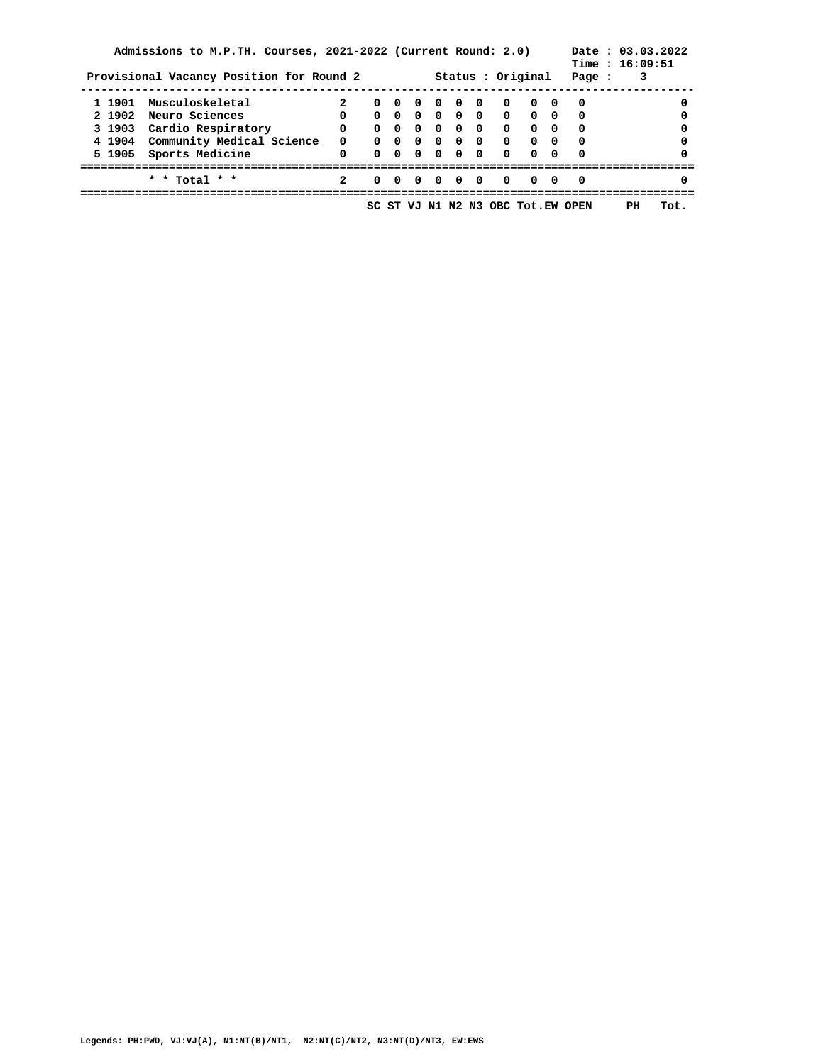|        | Admissions to M.P.TH. Courses, 2021-2022 (Current Round: 2.0)<br>Provisional Vacancy Position for Round 2 |              |             |  |                                     |                         | Status : Original                                                        | Time: 16:09:51<br>Page : | 3  | Date: 03.03.2022 |
|--------|-----------------------------------------------------------------------------------------------------------|--------------|-------------|--|-------------------------------------|-------------------------|--------------------------------------------------------------------------|--------------------------|----|------------------|
|        | 1 1901 Musculoskeletal                                                                                    | $\mathbf{2}$ | 0 0         |  | $0\quad 0\quad 0\quad 0$            |                         | $\begin{array}{ccc} & & & \circ & \circ \end{array}$                     | 0                        |    | $\Omega$         |
|        | 2 1902 Neuro Sciences                                                                                     | $\Omega$     |             |  |                                     |                         | 0 0 0 0 0 0 0 0 0                                                        | 0                        |    | $\Omega$         |
|        | 3 1903 Cardio Respiratory                                                                                 | $\mathbf{0}$ | $0 \quad 0$ |  |                                     |                         | $\begin{array}{ccccccccccccccccc} 0 & 0 & 0 & 0 & 0 & 0 & 0 \end{array}$ | 0                        |    |                  |
|        | 4 1904 Community Medical Science                                                                          | $\mathbf{0}$ | $0 \quad 0$ |  |                                     | $\overline{0}$          | $0 \quad 0$                                                              | $\Omega$                 |    | $\Omega$         |
| 5 1905 | Sports Medicine                                                                                           | 0            |             |  | $0 \quad 0 \quad 0 \quad 0 \quad 0$ | $\overline{\mathbf{0}}$ | 0 O                                                                      | $\Omega$                 |    | $\Omega$         |
|        | * * Total * *                                                                                             | $\mathbf{2}$ | 0 O         |  | 0000                                | 0                       | $\Omega$                                                                 | - 0                      |    | $\Omega$         |
|        |                                                                                                           |              |             |  |                                     |                         | SC ST VJ N1 N2 N3 OBC Tot.EW OPEN                                        |                          | PH | Tot.             |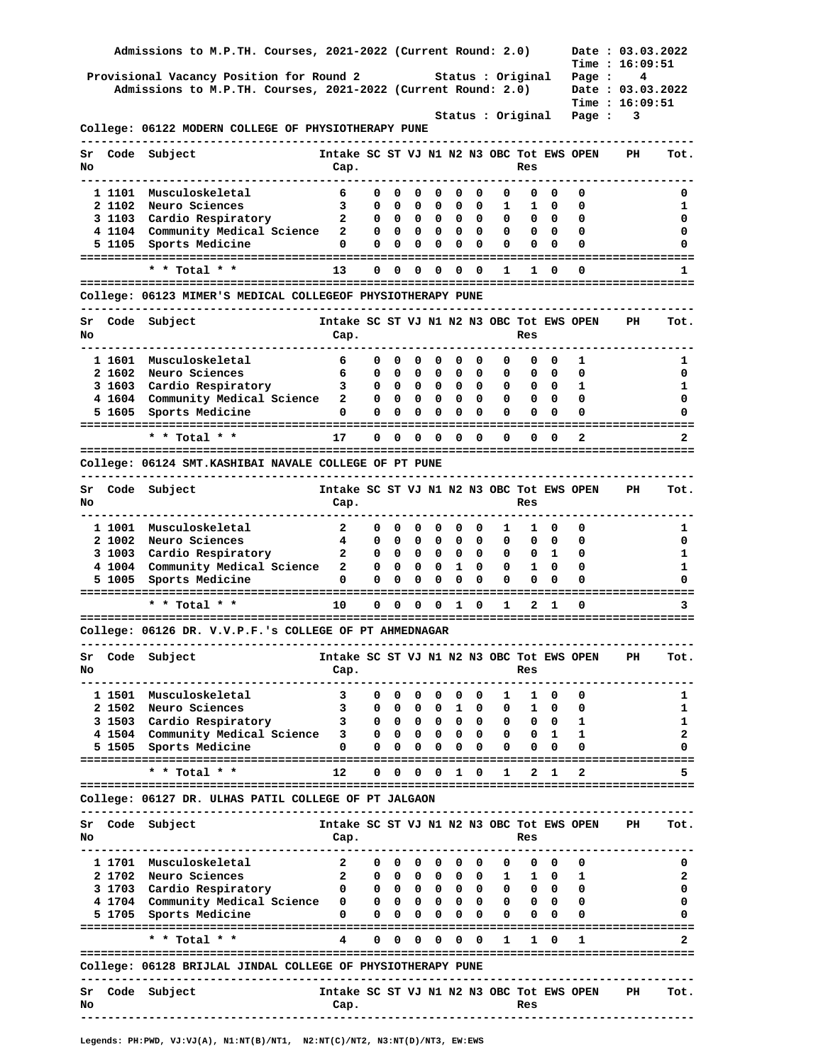|          |                  | Admissions to M.P.TH. Courses, 2021-2022 (Current Round: 2.0)                            |                                                   |                   |                              |                                                     |                               |                                                                                  |                          |                                                                                                                            |                                    |                 |                              | Date: 03.03.2022    |              |
|----------|------------------|------------------------------------------------------------------------------------------|---------------------------------------------------|-------------------|------------------------------|-----------------------------------------------------|-------------------------------|----------------------------------------------------------------------------------|--------------------------|----------------------------------------------------------------------------------------------------------------------------|------------------------------------|-----------------|------------------------------|---------------------|--------------|
|          |                  | Provisional Vacancy Position for Round 2                                                 |                                                   |                   |                              |                                                     |                               |                                                                                  |                          | Status : Original                                                                                                          |                                    |                 | Page :                       | Time: 16:09:51<br>4 |              |
|          |                  | Admissions to M.P.TH. Courses, 2021-2022 (Current Round: 2.0)                            |                                                   |                   |                              |                                                     |                               |                                                                                  |                          |                                                                                                                            |                                    |                 |                              | Date: 03.03.2022    |              |
|          |                  |                                                                                          |                                                   |                   |                              |                                                     |                               |                                                                                  |                          |                                                                                                                            |                                    |                 |                              | Time: 16:09:51      |              |
|          |                  | College: 06122 MODERN COLLEGE OF PHYSIOTHERAPY PUNE                                      |                                                   |                   |                              |                                                     |                               |                                                                                  |                          | Status : Original                                                                                                          |                                    |                 | Page :                       | 3                   |              |
| Sr<br>No | Code             | Subject<br>----------------------------------                                            | Intake SC ST VJ N1 N2 N3 OBC Tot EWS OPEN<br>Cap. |                   |                              |                                                     |                               |                                                                                  |                          |                                                                                                                            | Res                                |                 |                              | PH                  | Tot.         |
|          | 1 1101           | Musculoskeletal                                                                          | 6                                                 | 0                 | 0                            | 0                                                   | 0                             | 0                                                                                | 0                        | 0                                                                                                                          | 0                                  | 0               | 0                            |                     | 0            |
|          | 2 1102           | Neuro Sciences                                                                           | $\overline{\mathbf{3}}$                           | 0                 | 0                            | 0                                                   | 0                             | 0                                                                                | 0                        | $\mathbf{1}$                                                                                                               | 1                                  | 0               | 0                            |                     | 1            |
|          |                  | 3 1103 Cardio Respiratory                                                                | $\overline{\mathbf{a}}$                           | 0                 | 0                            | $\overline{\phantom{0}}$                            | 0                             | $\mathbf{0}$                                                                     | 0                        | 0                                                                                                                          | $\overline{\phantom{a}}$           | 0               | 0                            |                     | 0            |
|          | 5 1105           | 4 1104 Community Medical Science 2<br>Sports Medicine                                    | 0                                                 | 0<br>$\mathbf{0}$ | $\overline{\mathbf{0}}$<br>0 | $\overline{\mathbf{0}}$<br>$\overline{\phantom{0}}$ | $\mathbf{0}$<br>0             | 0                                                                                | $0\quad 0$<br>$\Omega$   | 0<br>0                                                                                                                     | 0<br>0                             | - 0<br>0        | 0<br>0                       |                     | 0<br>0       |
|          |                  |                                                                                          |                                                   |                   |                              |                                                     |                               |                                                                                  |                          |                                                                                                                            |                                    |                 |                              |                     |              |
|          |                  | $*$ * Total * *                                                                          | 13                                                | $\mathbf{0}$      | 0                            | 0                                                   | 0                             | 0                                                                                | $\Omega$                 | 1                                                                                                                          | 1                                  | 0               | 0                            |                     | 1            |
|          |                  | College: 06123 MIMER'S MEDICAL COLLEGEOF PHYSIOTHERAPY PUNE<br>-------------------       |                                                   |                   |                              |                                                     |                               |                                                                                  |                          |                                                                                                                            |                                    |                 | ----------------------       |                     |              |
| Sr<br>No | Code             | Subject                                                                                  | Intake SC ST VJ N1 N2 N3 OBC Tot EWS OPEN<br>Cap. |                   |                              |                                                     |                               |                                                                                  |                          |                                                                                                                            | Res                                |                 |                              | PH                  | Tot.         |
|          |                  | 1 1601 Musculoskeletal                                                                   | - 6                                               |                   | 0                            |                                                     |                               |                                                                                  |                          |                                                                                                                            |                                    |                 |                              |                     |              |
|          |                  | 2 1602 Neuro Sciences                                                                    | 6                                                 | 0<br>0            | 0                            | 0<br>$\overline{\phantom{a}}$                       | 0<br>0                        | $\mathbf 0$<br>$\mathbf 0$                                                       | $\mathbf{o}$<br>0        | 0<br>0                                                                                                                     | 0<br>0                             | $^{\circ}$<br>0 | 1<br>0                       |                     | ı<br>0       |
|          |                  | 3 1603 Cardio Respiratory                                                                | $\overline{\mathbf{3}}$                           | 0                 |                              | $\begin{array}{ccc} & & o \end{array}$              | $\mathbf{0}$                  |                                                                                  | $0\quad 0$               | 0                                                                                                                          | $\overline{\phantom{a}}$           | $\mathbf{0}$    | 1                            |                     | 1            |
|          |                  | 4 1604 Community Medical Science 2                                                       |                                                   | 0                 | 0                            | $\overline{\mathbf{0}}$                             | 0                             | $\mathbf{O}$                                                                     | $\overline{\phantom{0}}$ | 0                                                                                                                          | $\overline{\phantom{a}}$           | $\mathbf{0}$    | 0                            |                     | 0            |
|          | 5 1605           | Sports Medicine                                                                          | 0                                                 | 0                 | 0                            | $\overline{\mathbf{0}}$                             | 0                             | $\overline{\mathbf{0}}$                                                          | 0                        | 0                                                                                                                          | 0                                  | $\Omega$        | 0                            |                     | 0            |
|          |                  | * * Total * *                                                                            | 17                                                |                   | $0\quad 0$                   |                                                     |                               | $0\quad 0\quad 0\quad 0$                                                         |                          | 0                                                                                                                          |                                    | $0\quad 0$      | 2                            |                     | $\mathbf{2}$ |
|          |                  | College: 06124 SMT.KASHIBAI NAVALE COLLEGE OF PT PUNE                                    |                                                   |                   |                              |                                                     |                               |                                                                                  |                          |                                                                                                                            |                                    |                 |                              |                     |              |
| Sr       |                  | ---------------------------<br>Code Subject                                              | Intake SC ST VJ N1 N2 N3 OBC Tot EWS OPEN         |                   |                              |                                                     |                               |                                                                                  |                          |                                                                                                                            |                                    |                 |                              | PH                  | Tot.         |
| No       |                  |                                                                                          | Cap.                                              |                   |                              |                                                     |                               |                                                                                  |                          |                                                                                                                            | Res                                |                 |                              |                     |              |
|          |                  |                                                                                          |                                                   | 0                 | 0                            | 0                                                   |                               | 0                                                                                |                          |                                                                                                                            |                                    |                 |                              |                     |              |
|          | 1 1001<br>2 1002 | Musculoskeletal<br>Neuro Sciences                                                        | $\overline{\mathbf{2}}$<br>$\overline{4}$         | 0                 | 0                            | $\overline{\mathbf{0}}$                             | 0<br>0                        | $\overline{\mathbf{0}}$                                                          | 0<br>0                   | 1<br>0                                                                                                                     | 1<br>0                             | 0<br>0          | 0<br>0                       |                     | 1<br>0       |
|          |                  | 3 1003 Cardio Respiratory                                                                | $\mathbf{2}$                                      | 0                 | $^{\circ}$                   | $\overline{\mathbf{0}}$                             | $\mathbf{O}$                  |                                                                                  | $0\quad 0$               | 0                                                                                                                          | $\mathbf{0}$                       | 1               | 0                            |                     | 1            |
|          |                  | 4 1004 Community Medical Science 2                                                       |                                                   | 0                 | 0                            | $\overline{\phantom{0}}$                            | 0                             | $\mathbf{1}$                                                                     | 0                        | 0                                                                                                                          | $\mathbf{1}$                       | 0               | 0                            |                     | 1            |
|          | 5 1005           | Sports Medicine                                                                          | 0                                                 | 0                 | 0                            | 0                                                   | 0                             | 0                                                                                | 0                        | 0                                                                                                                          | 0                                  | 0               | 0                            |                     | 0            |
|          |                  | * * Total * *                                                                            | 10                                                |                   |                              |                                                     | $0\quad 0\quad 0\quad 0\quad$ | $\mathbf{1}$                                                                     | $\mathbf{0}$             | 1                                                                                                                          | 2                                  | 1               | 0                            |                     | 3            |
|          |                  | College: 06126 DR. V.V.P.F.'s COLLEGE OF PT AHMEDNAGAR                                   |                                                   |                   |                              |                                                     |                               |                                                                                  |                          |                                                                                                                            |                                    |                 |                              |                     |              |
| Sr       |                  | Code Subject                                                                             | Intake SC ST VJ N1 N2 N3 OBC Tot EWS OPEN         |                   |                              |                                                     |                               |                                                                                  |                          |                                                                                                                            |                                    |                 | ---------------------------- | PH                  | Tot.         |
| No       |                  |                                                                                          | Cap.                                              |                   |                              |                                                     |                               |                                                                                  |                          |                                                                                                                            | Res                                |                 |                              |                     |              |
|          |                  | 1 1501 Musculoskeletal                                                                   | 3                                                 |                   |                              |                                                     |                               | $0\quad 0\quad 0\quad 0\quad 0\quad 0$                                           |                          |                                                                                                                            | 1 1 0                              |                 | 0                            |                     | 1            |
|          | 2 1502           | Neuro Sciences                                                                           | $\overline{\mathbf{3}}$                           |                   |                              |                                                     |                               | 000010                                                                           |                          |                                                                                                                            | $0\quad 1\quad 0$                  |                 | 0                            |                     | 1            |
|          |                  | 3 1503 Cardio Respiratory                                                                | 3 0 0 0 0 0 0 0 0 1                               |                   |                              |                                                     |                               |                                                                                  |                          |                                                                                                                            |                                    |                 |                              |                     | 1            |
|          |                  | 4 1504 Community Medical Science 3<br>5 1505 Sports Medicine                             | 0                                                 |                   |                              |                                                     |                               | $0\quad 0\quad 0\quad 0\quad 0\quad 0$<br>$0\quad 0\quad 0\quad 0\quad 0\quad 0$ |                          |                                                                                                                            | $0 \t 0 \t 1$<br>$0\quad 0\quad 0$ |                 | 1<br>0                       |                     | 2            |
|          |                  | * * Total * *                                                                            | $12 \overline{ }$                                 |                   |                              |                                                     |                               | 0 0 0 0 1 0                                                                      |                          |                                                                                                                            | 1 2 1                              |                 |                              |                     | 5.           |
|          |                  | College: 06127 DR. ULHAS PATIL COLLEGE OF PT JALGAON                                     |                                                   |                   |                              |                                                     |                               |                                                                                  |                          |                                                                                                                            |                                    |                 |                              |                     |              |
|          |                  |                                                                                          |                                                   |                   |                              |                                                     |                               |                                                                                  |                          |                                                                                                                            |                                    |                 |                              |                     |              |
| Sr<br>No | Code             | Subject                                                                                  | Intake SC ST VJ N1 N2 N3 OBC Tot EWS OPEN<br>Cap. |                   |                              |                                                     |                               |                                                                                  |                          |                                                                                                                            | Res                                |                 |                              | PH                  | Tot.         |
|          |                  | 1 1701 Musculoskeletal                                                                   | $\overline{\mathbf{2}}$                           |                   |                              | $0\quad 0\quad 0$                                   | 0                             | $\mathbf 0$                                                                      | $\overline{\mathbf{0}}$  |                                                                                                                            | $0\quad 0\quad 0$                  |                 | 0                            |                     | 0            |
|          |                  | 2 1702 Neuro Sciences                                                                    | $\overline{\mathbf{2}}$                           |                   |                              |                                                     |                               | $0\quad 0\quad 0\quad 0\quad 0\quad 0\quad 0$                                    |                          |                                                                                                                            | 1 1 0                              |                 | 1                            |                     | 2            |
|          |                  | 3 1703 Cardio Respiratory                                                                | $\overline{\mathbf{0}}$                           |                   |                              |                                                     |                               |                                                                                  |                          | $0\quad 0\quad 0\quad 0\quad 0\quad 0\quad 0\quad 0\quad 0$                                                                |                                    |                 | $\mathbf 0$                  |                     | 0            |
|          |                  | 4 1704 Community Medical Science 0<br>5 1705 Sports Medicine                             | 0                                                 |                   |                              |                                                     |                               |                                                                                  |                          | $0\quad 0\quad 0\quad 0\quad 0\quad 0\quad 0\quad 0\quad 0$<br>$0\quad 0\quad 0\quad 0\quad 0\quad 0\quad 0\quad 0\quad 0$ |                                    |                 | $\mathbf{o}$<br>0            |                     | 0<br>0       |
|          |                  |                                                                                          |                                                   |                   |                              |                                                     |                               |                                                                                  |                          |                                                                                                                            |                                    |                 |                              |                     |              |
|          |                  | * * Total * *                                                                            | $\overline{4}$                                    |                   |                              |                                                     |                               | $0\quad 0\quad 0\quad 0\quad 0\quad 0$                                           |                          | $\mathbf{1}$                                                                                                               |                                    | 1 0             | 1                            |                     | 2            |
|          |                  | College: 06128 BRIJLAL JINDAL COLLEGE OF PHYSIOTHERAPY PUNE<br>------------------------- |                                                   |                   |                              |                                                     |                               |                                                                                  |                          |                                                                                                                            |                                    |                 |                              |                     |              |
| Sr<br>No |                  | Code Subject                                                                             | Intake SC ST VJ N1 N2 N3 OBC Tot EWS OPEN<br>Cap. |                   |                              |                                                     |                               |                                                                                  |                          |                                                                                                                            | Res                                |                 |                              | PH                  | Tot.         |
|          |                  |                                                                                          |                                                   |                   |                              |                                                     |                               |                                                                                  |                          |                                                                                                                            |                                    |                 |                              |                     |              |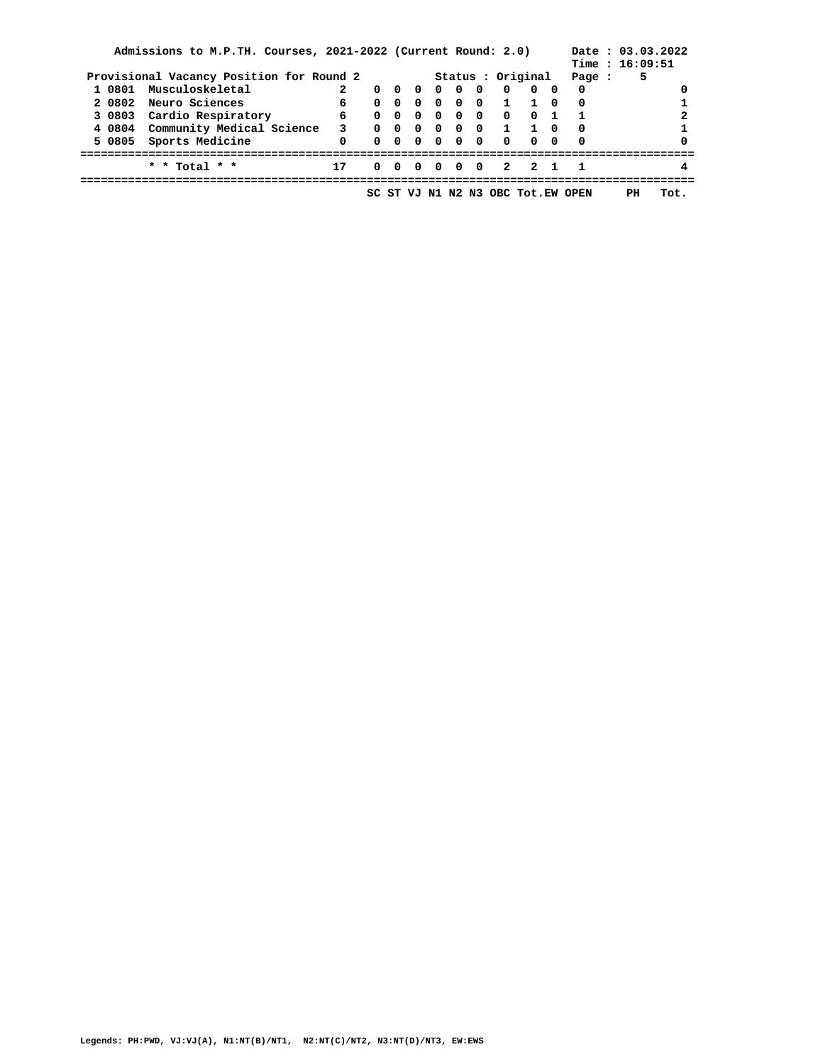|        | Admissions to M.P.TH. Courses, 2021-2022 (Current Round: 2.0) |                         |                |            |            |                                               |                     |                                   | Time: 16:09:51 | Date: 03.03.2022 |
|--------|---------------------------------------------------------------|-------------------------|----------------|------------|------------|-----------------------------------------------|---------------------|-----------------------------------|----------------|------------------|
|        | Provisional Vacancy Position for Round 2                      |                         |                |            |            | Status : Original                             | Page :              | 5                                 |                |                  |
|        | 1 0801 Musculoskeletal                                        | $\mathbf{2}$            | $0\quad 0$     | $0\quad 0$ | $0\quad 0$ | $\overline{\mathbf{0}}$                       | $0\quad 0$          | $\Omega$                          |                | 0                |
|        | 2 0802 Neuro Sciences                                         | $6^{\circ}$             | 0 <sub>0</sub> |            |            |                                               | 0 0 0 0 1 1 0       | $\Omega$                          |                |                  |
|        | 3 0803 Cardio Respiratory                                     | 6 —                     | $0 \quad 0$    | $0\quad 0$ | $0\quad 0$ | $\overline{\mathbf{0}}$                       | $0\quad1$           | $\blacksquare$                    |                |                  |
|        | 4 0804 Community Medical Science                              | $\overline{\mathbf{3}}$ | $0 \quad 0$    |            |            |                                               | 0000110             | $\mathbf{0}$                      |                |                  |
| 5 0805 | Sports Medicine                                               | $\mathbf{0}$            |                |            |            | $0\quad 0\quad 0\quad 0\quad 0\quad 0\quad 0$ | 0 0                 | $\Omega$                          |                | $\Omega$         |
|        | * * Total * *                                                 | 17                      |                |            |            |                                               | 0 0 0 0 0 0 2 2 1 1 |                                   |                | 4                |
|        |                                                               |                         |                |            |            |                                               |                     | SC ST VJ N1 N2 N3 OBC Tot.EW OPEN | PН             | Tot.             |